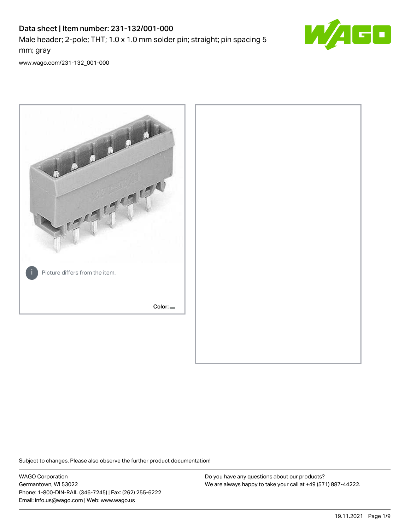# Data sheet | Item number: 231-132/001-000 Male header; 2-pole; THT; 1.0 x 1.0 mm solder pin; straight; pin spacing 5 mm; gray



[www.wago.com/231-132\\_001-000](http://www.wago.com/231-132_001-000)



Subject to changes. Please also observe the further product documentation!

WAGO Corporation Germantown, WI 53022 Phone: 1-800-DIN-RAIL (346-7245) | Fax: (262) 255-6222 Email: info.us@wago.com | Web: www.wago.us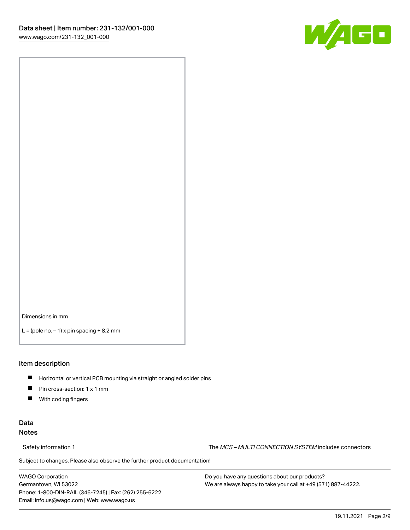

Dimensions in mm

 $L =$  (pole no.  $-1$ ) x pin spacing  $+8.2$  mm

#### Item description

- **Horizontal or vertical PCB mounting via straight or angled solder pins**
- **Pin cross-section: 1 x 1 mm**
- $\blacksquare$ With coding fingers

#### Data Notes

Safety information 1 The MCS – MULTI CONNECTION SYSTEM includes connectors

Subject to changes. Please also observe the further product documentation!  $\nu$ 

WAGO Corporation Germantown, WI 53022 Phone: 1-800-DIN-RAIL (346-7245) | Fax: (262) 255-6222 Email: info.us@wago.com | Web: www.wago.us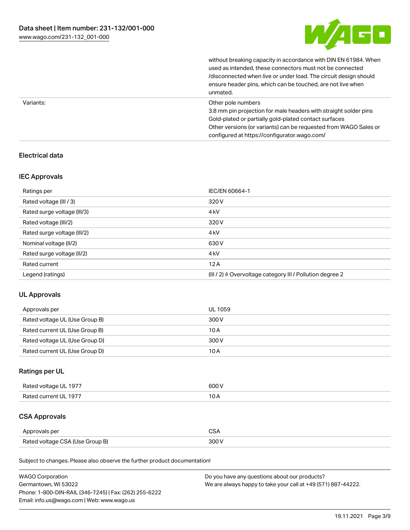

|           | without breaking capacity in accordance with DIN EN 61984. When<br>used as intended, these connectors must not be connected<br>/disconnected when live or under load. The circuit design should<br>ensure header pins, which can be touched, are not live when<br>unmated. |
|-----------|----------------------------------------------------------------------------------------------------------------------------------------------------------------------------------------------------------------------------------------------------------------------------|
| Variants: | Other pole numbers<br>3.8 mm pin projection for male headers with straight solder pins<br>Gold-plated or partially gold-plated contact surfaces<br>Other versions (or variants) can be requested from WAGO Sales or<br>configured at https://configurator.wago.com/        |

#### Electrical data

#### IEC Approvals

| Ratings per                 | IEC/EN 60664-1                                            |
|-----------------------------|-----------------------------------------------------------|
| Rated voltage (III / 3)     | 320 V                                                     |
| Rated surge voltage (III/3) | 4 <sub>k</sub> V                                          |
| Rated voltage (III/2)       | 320 V                                                     |
| Rated surge voltage (III/2) | 4 <sub>k</sub> V                                          |
| Nominal voltage (II/2)      | 630 V                                                     |
| Rated surge voltage (II/2)  | 4 <sub>k</sub> V                                          |
| Rated current               | 12A                                                       |
| Legend (ratings)            | (III / 2) ≙ Overvoltage category III / Pollution degree 2 |

### UL Approvals

| Approvals per                  | UL 1059 |
|--------------------------------|---------|
| Rated voltage UL (Use Group B) | 300 V   |
| Rated current UL (Use Group B) | 10 A    |
| Rated voltage UL (Use Group D) | 300 V   |
| Rated current UL (Use Group D) | 10 A    |

### Ratings per UL

| Rated voltage UL 1977 | 600 V |
|-----------------------|-------|
| Rated current UL 1977 |       |

# CSA Approvals

| Approvals per                   | ~~    |
|---------------------------------|-------|
| Rated voltage CSA (Use Group B) | 3UU 1 |

Subject to changes. Please also observe the further product documentation!

| <b>WAGO Corporation</b>                                | Do you have any questions about our products?                 |
|--------------------------------------------------------|---------------------------------------------------------------|
| Germantown, WI 53022                                   | We are always happy to take your call at +49 (571) 887-44222. |
| Phone: 1-800-DIN-RAIL (346-7245)   Fax: (262) 255-6222 |                                                               |
| Email: info.us@wago.com   Web: www.wago.us             |                                                               |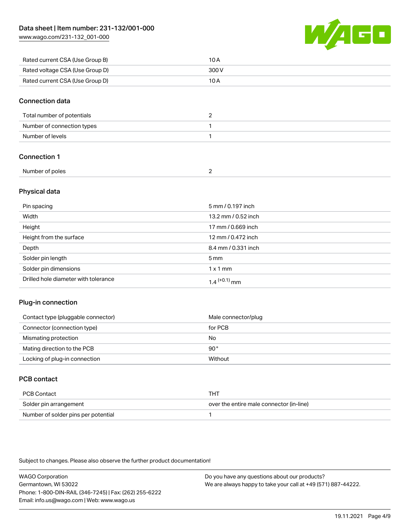[www.wago.com/231-132\\_001-000](http://www.wago.com/231-132_001-000)



| Rated current CSA (Use Group B) | 10 A  |
|---------------------------------|-------|
| Rated voltage CSA (Use Group D) | 300 V |
| Rated current CSA (Use Group D) | 10 A  |

#### Connection data

| Total number of potentials |  |
|----------------------------|--|
| Number of connection types |  |
| Number of levels           |  |

#### Connection 1

#### Physical data

| Pin spacing                          | 5 mm / 0.197 inch          |
|--------------------------------------|----------------------------|
| Width                                | 13.2 mm / 0.52 inch        |
| Height                               | 17 mm / 0.669 inch         |
| Height from the surface              | 12 mm / 0.472 inch         |
| Depth                                | 8.4 mm / 0.331 inch        |
| Solder pin length                    | 5 <sub>mm</sub>            |
| Solder pin dimensions                | $1 \times 1$ mm            |
| Drilled hole diameter with tolerance | $1.4$ <sup>(+0.1)</sup> mm |

#### Plug-in connection

| Contact type (pluggable connector) | Male connector/plug |
|------------------------------------|---------------------|
| Connector (connection type)        | for PCB             |
| Mismating protection               | No                  |
| Mating direction to the PCB        | $90^{\circ}$        |
| Locking of plug-in connection      | Without             |

### PCB contact

| PCB Contact                         | тнт                                      |
|-------------------------------------|------------------------------------------|
| Solder pin arrangement              | over the entire male connector (in-line) |
| Number of solder pins per potential |                                          |

Subject to changes. Please also observe the further product documentation!

WAGO Corporation Germantown, WI 53022 Phone: 1-800-DIN-RAIL (346-7245) | Fax: (262) 255-6222 Email: info.us@wago.com | Web: www.wago.us Do you have any questions about our products? We are always happy to take your call at +49 (571) 887-44222.

19.11.2021 Page 4/9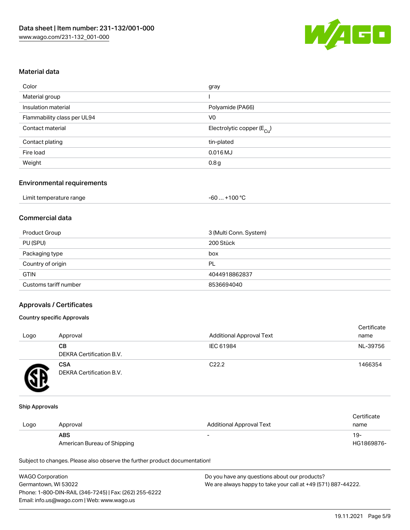

#### Material data

| Color                       | gray                                   |
|-----------------------------|----------------------------------------|
| Material group              |                                        |
| Insulation material         | Polyamide (PA66)                       |
| Flammability class per UL94 | V0                                     |
| Contact material            | Electrolytic copper (E <sub>Cu</sub> ) |
| Contact plating             | tin-plated                             |
| Fire load                   | $0.016$ MJ                             |
| Weight                      | 0.8g                                   |
|                             |                                        |

#### Environmental requirements

| Limit temperature range | . +100 °C<br>-60 |
|-------------------------|------------------|
|-------------------------|------------------|

### Commercial data

| Product Group         | 3 (Multi Conn. System) |
|-----------------------|------------------------|
| PU (SPU)              | 200 Stück              |
| Packaging type        | box                    |
| Country of origin     | PL                     |
| <b>GTIN</b>           | 4044918862837          |
| Customs tariff number | 8536694040             |

#### Approvals / Certificates

#### Country specific Approvals

| Logo | Approval                               | <b>Additional Approval Text</b> | Certificate<br>name |
|------|----------------------------------------|---------------------------------|---------------------|
|      | CВ<br>DEKRA Certification B.V.         | IEC 61984                       | NL-39756            |
|      | <b>CSA</b><br>DEKRA Certification B.V. | C <sub>22.2</sub>               | 1466354             |

#### Ship Approvals

|      |                             |                                 | Certificate |
|------|-----------------------------|---------------------------------|-------------|
| Logo | Approval                    | <b>Additional Approval Text</b> | name        |
|      | <b>ABS</b>                  | $\overline{\phantom{0}}$        | -19         |
|      | American Bureau of Shipping |                                 | HG1869876-  |

Subject to changes. Please also observe the further product documentation!

| <b>WAGO Corporation</b>                                | Do you have any questions about our products?                 |
|--------------------------------------------------------|---------------------------------------------------------------|
| Germantown, WI 53022                                   | We are always happy to take your call at +49 (571) 887-44222. |
| Phone: 1-800-DIN-RAIL (346-7245)   Fax: (262) 255-6222 |                                                               |
| Email: info.us@wago.com   Web: www.wago.us             |                                                               |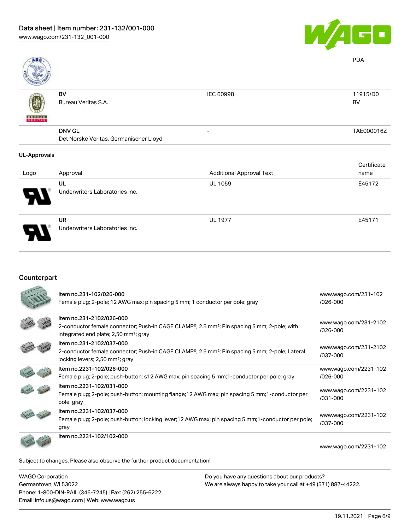

| ABS                 |                                        |                                 | <b>PDA</b>  |
|---------------------|----------------------------------------|---------------------------------|-------------|
|                     | BV                                     | IEC 60998                       | 11915/D0    |
|                     | Bureau Veritas S.A.                    |                                 | BV          |
| <b>BUNEAU</b>       |                                        |                                 |             |
|                     | <b>DNV GL</b>                          | $\overline{\phantom{a}}$        | TAE000016Z  |
|                     | Det Norske Veritas, Germanischer Lloyd |                                 |             |
| <b>UL-Approvals</b> |                                        |                                 |             |
|                     |                                        |                                 | Certificate |
| Logo                | Approval                               | <b>Additional Approval Text</b> | name        |
|                     | UL                                     | <b>UL 1059</b>                  | E45172      |
| J                   | Underwriters Laboratories Inc.         |                                 |             |

UR Underwriters Laboratories Inc. UL 1977 E45171

# Counterpart

| Item no.231-102/026-000<br>Female plug; 2-pole; 12 AWG max; pin spacing 5 mm; 1 conductor per pole; gray                                                                                              | www.wago.com/231-102<br>$1026 - 000$  |
|-------------------------------------------------------------------------------------------------------------------------------------------------------------------------------------------------------|---------------------------------------|
| Item no.231-2102/026-000<br>2-conductor female connector; Push-in CAGE CLAMP <sup>®</sup> ; 2.5 mm <sup>2</sup> ; Pin spacing 5 mm; 2-pole; with<br>integrated end plate; 2,50 mm <sup>2</sup> ; gray | www.wago.com/231-2102<br>/026-000     |
| Item no.231-2102/037-000<br>2-conductor female connector; Push-in CAGE CLAMP®; 2.5 mm <sup>2</sup> ; Pin spacing 5 mm; 2-pole; Lateral<br>locking levers; 2,50 mm <sup>2</sup> ; gray                 | www.wago.com/231-2102<br>/037-000     |
| Item no.2231-102/026-000<br>Female plug; 2-pole; push-button; s12 AWG max; pin spacing 5 mm; 1-conductor per pole; gray                                                                               | www.wago.com/2231-102<br>$/026 - 000$ |
| Item no.2231-102/031-000<br>Female plug; 2-pole; push-button; mounting flange; 12 AWG max; pin spacing 5 mm; 1-conductor per<br>pole; gray                                                            | www.wago.com/2231-102<br>$/031 - 000$ |
| Item no.2231-102/037-000<br>Female plug; 2-pole; push-button; locking lever; 12 AWG max; pin spacing 5 mm; 1-conductor per pole;<br>gray                                                              | www.wago.com/2231-102<br>/037-000     |
| Item no.2231-102/102-000                                                                                                                                                                              | www.wago.com/2231-102                 |
| Subject to changes. Please also observe the further product documentation!                                                                                                                            |                                       |

WAGO Corporation Germantown, WI 53022 Phone: 1-800-DIN-RAIL (346-7245) | Fax: (262) 255-6222 Email: info.us@wago.com | Web: www.wago.us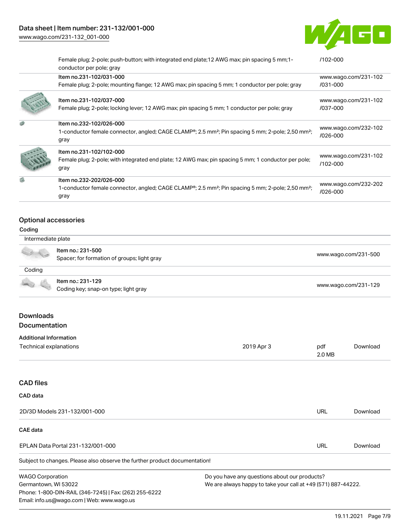# Data sheet | Item number: 231-132/001-000

[www.wago.com/231-132\\_001-000](http://www.wago.com/231-132_001-000)



|                                                      | Female plug; 2-pole; push-button; with integrated end plate; 12 AWG max; pin spacing 5 mm; 1-<br>conductor per pole; gray                                                 | $/102 - 000$                     |
|------------------------------------------------------|---------------------------------------------------------------------------------------------------------------------------------------------------------------------------|----------------------------------|
|                                                      | Item no.231-102/031-000                                                                                                                                                   | www.wago.com/231-102             |
|                                                      | Female plug; 2-pole; mounting flange; 12 AWG max; pin spacing 5 mm; 1 conductor per pole; gray                                                                            | /031-000                         |
|                                                      | Item no.231-102/037-000<br>Female plug; 2-pole; locking lever; 12 AWG max; pin spacing 5 mm; 1 conductor per pole; gray                                                   | www.wago.com/231-102<br>/037-000 |
|                                                      | Item no.232-102/026-000<br>1-conductor female connector, angled; CAGE CLAMP®; 2.5 mm <sup>2</sup> ; Pin spacing 5 mm; 2-pole; 2,50 mm <sup>2</sup> ;<br>gray              | www.wago.com/232-102<br>/026-000 |
|                                                      | Item no.231-102/102-000<br>Female plug; 2-pole; with integrated end plate; 12 AWG max; pin spacing 5 mm; 1 conductor per pole;<br>gray                                    | www.wago.com/231-102<br>/102-000 |
|                                                      | Item no.232-202/026-000<br>1-conductor female connector, angled; CAGE CLAMP <sup>®</sup> ; 2.5 mm <sup>2</sup> ; Pin spacing 5 mm; 2-pole; 2,50 mm <sup>2</sup> ;<br>gray | www.wago.com/232-202<br>/026-000 |
| Optional accessories<br>Coding<br>Intermediate plate |                                                                                                                                                                           |                                  |
|                                                      | Item no.: 231-500<br>Spacer; for formation of groups; light gray                                                                                                          | www.wago.com/231-500             |

### **Coding**

Item no.: 231-129 nem no.. 231-129<br>Coding key; snap-on type; light gray [www.wago.com/231-129](http://www.wago.com/231-129)

#### Downloads Documentation

Email: info.us@wago.com | Web: www.wago.us

| Additional information                                                     |                                                               |               |          |
|----------------------------------------------------------------------------|---------------------------------------------------------------|---------------|----------|
| Technical explanations                                                     | 2019 Apr 3                                                    | pdf<br>2.0 MB | Download |
|                                                                            |                                                               |               |          |
| <b>CAD files</b>                                                           |                                                               |               |          |
| CAD data                                                                   |                                                               |               |          |
| 2D/3D Models 231-132/001-000                                               |                                                               | <b>URL</b>    | Download |
| <b>CAE</b> data                                                            |                                                               |               |          |
| EPLAN Data Portal 231-132/001-000                                          |                                                               | <b>URL</b>    | Download |
| Subject to changes. Please also observe the further product documentation! |                                                               |               |          |
| <b>WAGO Corporation</b>                                                    | Do you have any questions about our products?                 |               |          |
| Germantown, WI 53022                                                       | We are always happy to take your call at +49 (571) 887-44222. |               |          |
| Phone: 1-800-DIN-RAIL (346-7245)   Fax: (262) 255-6222                     |                                                               |               |          |

19.11.2021 Page 7/9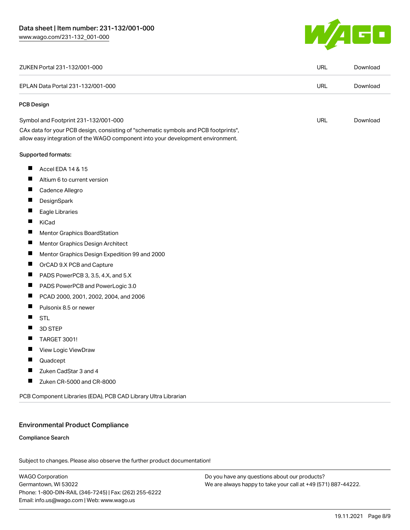

| EPLAN Data Portal 231-132/001-000<br>PCB Design<br>Symbol and Footprint 231-132/001-000<br>CAx data for your PCB design, consisting of "schematic symbols and PCB footprints",<br>allow easy integration of the WAGO component into your development environment. | URL<br><b>URL</b> | Download |
|-------------------------------------------------------------------------------------------------------------------------------------------------------------------------------------------------------------------------------------------------------------------|-------------------|----------|
|                                                                                                                                                                                                                                                                   |                   |          |
|                                                                                                                                                                                                                                                                   |                   |          |
|                                                                                                                                                                                                                                                                   |                   | Download |
|                                                                                                                                                                                                                                                                   |                   |          |
| Supported formats:                                                                                                                                                                                                                                                |                   |          |
| H.<br>Accel EDA 14 & 15                                                                                                                                                                                                                                           |                   |          |
| Altium 6 to current version                                                                                                                                                                                                                                       |                   |          |
| ш<br>Cadence Allegro                                                                                                                                                                                                                                              |                   |          |
| П<br>DesignSpark                                                                                                                                                                                                                                                  |                   |          |
| Eagle Libraries                                                                                                                                                                                                                                                   |                   |          |
| KiCad<br>П                                                                                                                                                                                                                                                        |                   |          |
| П<br>Mentor Graphics BoardStation                                                                                                                                                                                                                                 |                   |          |
| Ш<br>Mentor Graphics Design Architect                                                                                                                                                                                                                             |                   |          |
| Mentor Graphics Design Expedition 99 and 2000                                                                                                                                                                                                                     |                   |          |
| $\blacksquare$<br>OrCAD 9.X PCB and Capture                                                                                                                                                                                                                       |                   |          |
| П<br>PADS PowerPCB 3, 3.5, 4.X, and 5.X                                                                                                                                                                                                                           |                   |          |
| $\blacksquare$<br>PADS PowerPCB and PowerLogic 3.0                                                                                                                                                                                                                |                   |          |
| П<br>PCAD 2000, 2001, 2002, 2004, and 2006                                                                                                                                                                                                                        |                   |          |
| ш<br>Pulsonix 8.5 or newer                                                                                                                                                                                                                                        |                   |          |
| ×.<br><b>STL</b>                                                                                                                                                                                                                                                  |                   |          |
| 3D STEP                                                                                                                                                                                                                                                           |                   |          |
| TARGET 3001!<br>ш                                                                                                                                                                                                                                                 |                   |          |
| ш<br>View Logic ViewDraw                                                                                                                                                                                                                                          |                   |          |
| Quadcept<br>п                                                                                                                                                                                                                                                     |                   |          |
| Zuken CadStar 3 and 4                                                                                                                                                                                                                                             |                   |          |
| Zuken CR-5000 and CR-8000<br>ш                                                                                                                                                                                                                                    |                   |          |

#### Environmental Product Compliance

#### Compliance Search

Subject to changes. Please also observe the further product documentation!

WAGO Corporation Germantown, WI 53022 Phone: 1-800-DIN-RAIL (346-7245) | Fax: (262) 255-6222 Email: info.us@wago.com | Web: www.wago.us